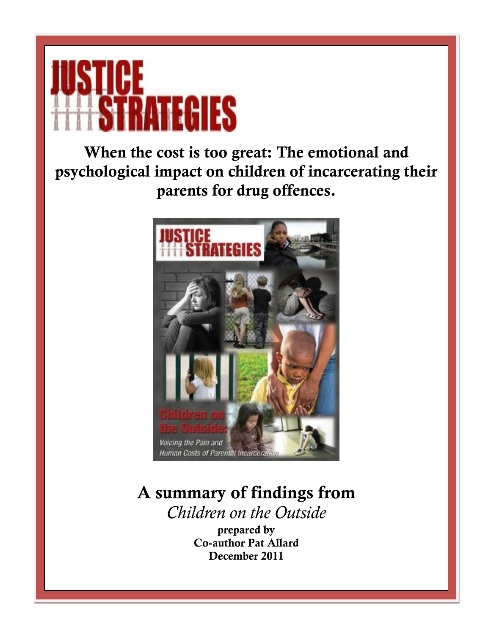

## **When the cost is too great: The emotional and psychological impact on children of incarcerating their parents for drug offences.**



# **A summary of findings from**

*Children on the Outside* **prepared by Co-author Pat Allard December 2011**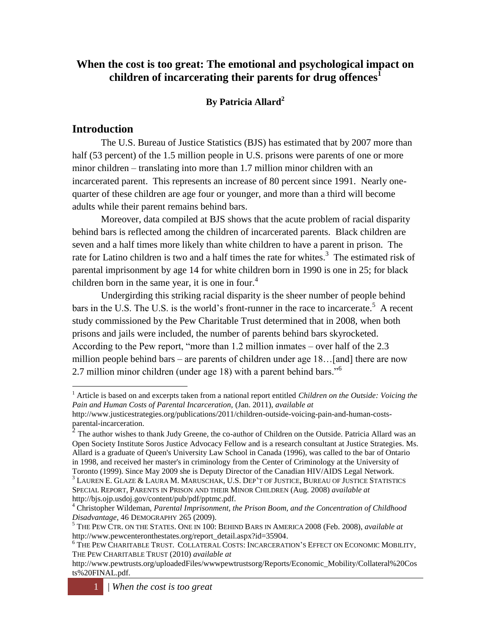### **When the cost is too great: The emotional and psychological impact on children of incarcerating their parents for drug offences<sup>1</sup>**

## **By Patricia Allard<sup>2</sup>**

## **Introduction**

The U.S. Bureau of Justice Statistics (BJS) has estimated that by 2007 more than half (53 percent) of the 1.5 million people in U.S. prisons were parents of one or more minor children – translating into more than 1.7 million minor children with an incarcerated parent. This represents an increase of 80 percent since 1991. Nearly onequarter of these children are age four or younger, and more than a third will become adults while their parent remains behind bars.

Moreover, data compiled at BJS shows that the acute problem of racial disparity behind bars is reflected among the children of incarcerated parents. Black children are seven and a half times more likely than white children to have a parent in prison. The rate for Latino children is two and a half times the rate for whites.<sup>3</sup> The estimated risk of parental imprisonment by age 14 for white children born in 1990 is one in 25; for black children born in the same year, it is one in four. $4$ 

Undergirding this striking racial disparity is the sheer number of people behind bars in the U.S. The U.S. is the world's front-runner in the race to incarcerate.<sup>5</sup> A recent study commissioned by the Pew Charitable Trust determined that in 2008, when both prisons and jails were included, the number of parents behind bars skyrocketed. According to the Pew report, "more than 1.2 million inmates – over half of the 2.3 million people behind bars – are parents of children under age 18…[and] there are now 2.7 million minor children (under age 18) with a parent behind bars."<sup>6</sup>

 $\overline{a}$ <sup>1</sup> Article is based on and excerpts taken from a national report entitled *Children on the Outside: Voicing the Pain and Human Costs of Parental Incarceration,* (Jan. 2011), *available at*

http://www.justicestrategies.org/publications/2011/children-outside-voicing-pain-and-human-costsparental-incarceration.

 $2$  The author wishes to thank Judy Greene, the co-author of Children on the Outside. Patricia Allard was an Open Society Institute Soros Justice Advocacy Fellow and is a research consultant at Justice Strategies. Ms. Allard is a graduate of Queen's University Law School in Canada (1996), was called to the bar of Ontario in 1998, and received her master's in criminology from the Center of Criminology at the University of Toronto (1999). Since May 2009 she is Deputy Director of the Canadian HIV/AIDS Legal Network.

<sup>3</sup> LAUREN E. GLAZE & LAURA M. MARUSCHAK, U.S. DEP"T OF JUSTICE, BUREAU OF JUSTICE STATISTICS SPECIAL REPORT, PARENTS IN PRISON AND THEIR MINOR CHILDREN (Aug. 2008) *available at* http://bjs.ojp.usdoj.gov/content/pub/pdf/pptmc.pdf.

<sup>4</sup> Christopher Wildeman, *Parental Imprisonment, the Prison Boom, and the Concentration of Childhood Disadvantage*, 46 DEMOGRAPHY 265 (2009).

<sup>5</sup> THE PEW CTR. ON THE STATES. ONE IN 100: BEHIND BARS IN AMERICA 2008 (Feb. 2008), *available at* http://www.pewcenteronthestates.org/report\_detail.aspx?id=35904.

<sup>6</sup> THE PEW CHARITABLE TRUST. COLLATERAL COSTS: INCARCERATION"S EFFECT ON ECONOMIC MOBILITY, THE PEW CHARITABLE TRUST (2010) *available at*

http://www.pewtrusts.org/uploadedFiles/wwwpewtrustsorg/Reports/Economic\_Mobility/Collateral%20Cos ts%20FINAL.pdf.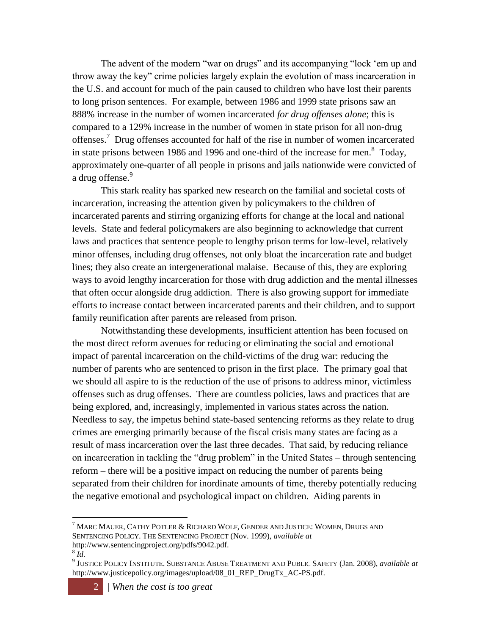The advent of the modern "war on drugs" and its accompanying "lock "em up and throw away the key" crime policies largely explain the evolution of mass incarceration in the U.S. and account for much of the pain caused to children who have lost their parents to long prison sentences. For example, between 1986 and 1999 state prisons saw an 888% increase in the number of women incarcerated *for drug offenses alone*; this is compared to a 129% increase in the number of women in state prison for all non-drug offenses.<sup>7</sup> Drug offenses accounted for half of the rise in number of women incarcerated in state prisons between 1986 and 1996 and one-third of the increase for men. $8$  Today, approximately one-quarter of all people in prisons and jails nationwide were convicted of a drug offense.<sup>9</sup>

This stark reality has sparked new research on the familial and societal costs of incarceration, increasing the attention given by policymakers to the children of incarcerated parents and stirring organizing efforts for change at the local and national levels. State and federal policymakers are also beginning to acknowledge that current laws and practices that sentence people to lengthy prison terms for low-level, relatively minor offenses, including drug offenses, not only bloat the incarceration rate and budget lines; they also create an intergenerational malaise. Because of this, they are exploring ways to avoid lengthy incarceration for those with drug addiction and the mental illnesses that often occur alongside drug addiction. There is also growing support for immediate efforts to increase contact between incarcerated parents and their children, and to support family reunification after parents are released from prison.

Notwithstanding these developments, insufficient attention has been focused on the most direct reform avenues for reducing or eliminating the social and emotional impact of parental incarceration on the child-victims of the drug war: reducing the number of parents who are sentenced to prison in the first place. The primary goal that we should all aspire to is the reduction of the use of prisons to address minor, victimless offenses such as drug offenses. There are countless policies, laws and practices that are being explored, and, increasingly, implemented in various states across the nation. Needless to say, the impetus behind state-based sentencing reforms as they relate to drug crimes are emerging primarily because of the fiscal crisis many states are facing as a result of mass incarceration over the last three decades. That said, by reducing reliance on incarceration in tackling the "drug problem" in the United States – through sentencing reform – there will be a positive impact on reducing the number of parents being separated from their children for inordinate amounts of time, thereby potentially reducing the negative emotional and psychological impact on children. Aiding parents in

 $^7$  Marc Mauer, Cathy Potler & Richard Wolf, Gender and Justice: Women, Drugs and SENTENCING POLICY. THE SENTENCING PROJECT (Nov. 1999), *available at* http://www.sentencingproject.org/pdfs/9042.pdf.

<sup>8</sup> *Id.*

<sup>9</sup> JUSTICE POLICY INSTITUTE. SUBSTANCE ABUSE TREATMENT AND PUBLIC SAFETY (Jan. 2008), *available at* http://www.justicepolicy.org/images/upload/08\_01\_REP\_DrugTx\_AC-PS.pdf.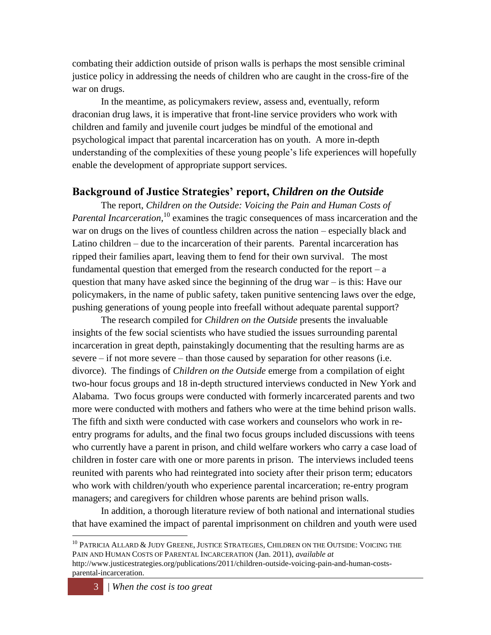combating their addiction outside of prison walls is perhaps the most sensible criminal justice policy in addressing the needs of children who are caught in the cross-fire of the war on drugs.

In the meantime, as policymakers review, assess and, eventually, reform draconian drug laws, it is imperative that front-line service providers who work with children and family and juvenile court judges be mindful of the emotional and psychological impact that parental incarceration has on youth. A more in-depth understanding of the complexities of these young people"s life experiences will hopefully enable the development of appropriate support services.

## **Background of Justice Strategies' report,** *Children on the Outside*

The report, *Children on the Outside: Voicing the Pain and Human Costs of*  Parental Incarceration,<sup>10</sup> examines the tragic consequences of mass incarceration and the war on drugs on the lives of countless children across the nation – especially black and Latino children – due to the incarceration of their parents. Parental incarceration has ripped their families apart, leaving them to fend for their own survival. The most fundamental question that emerged from the research conducted for the report  $- a$ question that many have asked since the beginning of the drug war – is this: Have our policymakers, in the name of public safety, taken punitive sentencing laws over the edge, pushing generations of young people into freefall without adequate parental support?

The research compiled for *Children on the Outside* presents the invaluable insights of the few social scientists who have studied the issues surrounding parental incarceration in great depth, painstakingly documenting that the resulting harms are as severe – if not more severe – than those caused by separation for other reasons (i.e. divorce). The findings of *Children on the Outside* emerge from a compilation of eight two-hour focus groups and 18 in-depth structured interviews conducted in New York and Alabama. Two focus groups were conducted with formerly incarcerated parents and two more were conducted with mothers and fathers who were at the time behind prison walls. The fifth and sixth were conducted with case workers and counselors who work in reentry programs for adults, and the final two focus groups included discussions with teens who currently have a parent in prison, and child welfare workers who carry a case load of children in foster care with one or more parents in prison. The interviews included teens reunited with parents who had reintegrated into society after their prison term; educators who work with children/youth who experience parental incarceration; re-entry program managers; and caregivers for children whose parents are behind prison walls.

In addition, a thorough literature review of both national and international studies that have examined the impact of parental imprisonment on children and youth were used

 $^{10}$  PATRICIA ALLARD & JUDY GREENE, JUSTICE STRATEGIES, CHILDREN ON THE OUTSIDE: VOICING THE PAIN AND HUMAN COSTS OF PARENTAL INCARCERATION (Jan. 2011), *available at*

http://www.justicestrategies.org/publications/2011/children-outside-voicing-pain-and-human-costsparental-incarceration.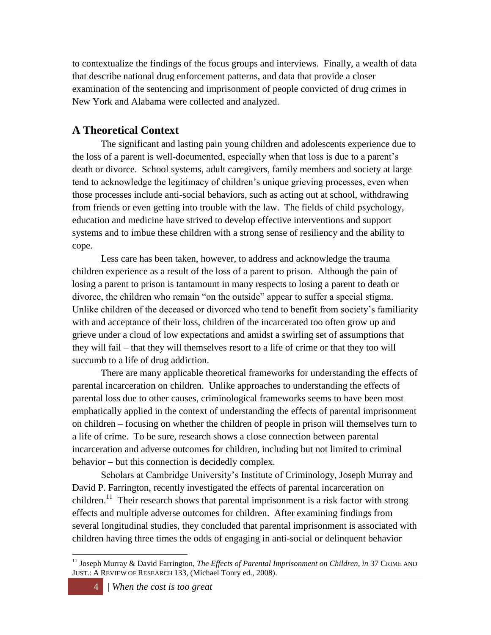to contextualize the findings of the focus groups and interviews. Finally, a wealth of data that describe national drug enforcement patterns, and data that provide a closer examination of the sentencing and imprisonment of people convicted of drug crimes in New York and Alabama were collected and analyzed.

## **A Theoretical Context**

The significant and lasting pain young children and adolescents experience due to the loss of a parent is well-documented, especially when that loss is due to a parent"s death or divorce. School systems, adult caregivers, family members and society at large tend to acknowledge the legitimacy of children"s unique grieving processes, even when those processes include anti-social behaviors, such as acting out at school, withdrawing from friends or even getting into trouble with the law. The fields of child psychology, education and medicine have strived to develop effective interventions and support systems and to imbue these children with a strong sense of resiliency and the ability to cope.

Less care has been taken, however, to address and acknowledge the trauma children experience as a result of the loss of a parent to prison. Although the pain of losing a parent to prison is tantamount in many respects to losing a parent to death or divorce, the children who remain "on the outside" appear to suffer a special stigma. Unlike children of the deceased or divorced who tend to benefit from society"s familiarity with and acceptance of their loss, children of the incarcerated too often grow up and grieve under a cloud of low expectations and amidst a swirling set of assumptions that they will fail – that they will themselves resort to a life of crime or that they too will succumb to a life of drug addiction.

There are many applicable theoretical frameworks for understanding the effects of parental incarceration on children. Unlike approaches to understanding the effects of parental loss due to other causes, criminological frameworks seems to have been most emphatically applied in the context of understanding the effects of parental imprisonment on children – focusing on whether the children of people in prison will themselves turn to a life of crime. To be sure, research shows a close connection between parental incarceration and adverse outcomes for children, including but not limited to criminal behavior – but this connection is decidedly complex.

Scholars at Cambridge University"s Institute of Criminology, Joseph Murray and David P. Farrington, recently investigated the effects of parental incarceration on children.<sup>11</sup> Their research shows that parental imprisonment is a risk factor with strong effects and multiple adverse outcomes for children. After examining findings from several longitudinal studies, they concluded that parental imprisonment is associated with children having three times the odds of engaging in anti-social or delinquent behavior

 $\overline{a}$ <sup>11</sup> Joseph Murray & David Farrington, *The Effects of Parental Imprisonment on Children, in* 37 CRIME AND JUST.: A REVIEW OF RESEARCH 133*,* (Michael Tonry ed., 2008).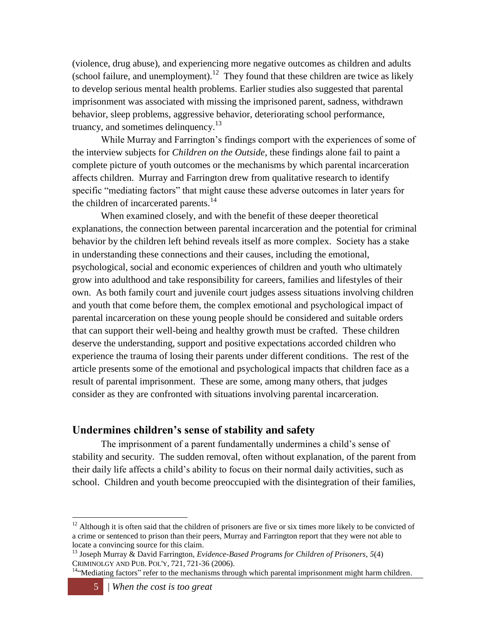(violence, drug abuse), and experiencing more negative outcomes as children and adults (school failure, and unemployment).<sup>12</sup> They found that these children are twice as likely to develop serious mental health problems. Earlier studies also suggested that parental imprisonment was associated with missing the imprisoned parent, sadness, withdrawn behavior, sleep problems, aggressive behavior, deteriorating school performance, truancy, and sometimes delinquency. $13$ 

While Murray and Farrington's findings comport with the experiences of some of the interview subjects for *Children on the Outside*, these findings alone fail to paint a complete picture of youth outcomes or the mechanisms by which parental incarceration affects children. Murray and Farrington drew from qualitative research to identify specific "mediating factors" that might cause these adverse outcomes in later years for the children of incarcerated parents.<sup>14</sup>

When examined closely, and with the benefit of these deeper theoretical explanations, the connection between parental incarceration and the potential for criminal behavior by the children left behind reveals itself as more complex. Society has a stake in understanding these connections and their causes, including the emotional, psychological, social and economic experiences of children and youth who ultimately grow into adulthood and take responsibility for careers, families and lifestyles of their own. As both family court and juvenile court judges assess situations involving children and youth that come before them, the complex emotional and psychological impact of parental incarceration on these young people should be considered and suitable orders that can support their well-being and healthy growth must be crafted. These children deserve the understanding, support and positive expectations accorded children who experience the trauma of losing their parents under different conditions. The rest of the article presents some of the emotional and psychological impacts that children face as a result of parental imprisonment. These are some, among many others, that judges consider as they are confronted with situations involving parental incarceration.

#### **Undermines children's sense of stability and safety**

The imprisonment of a parent fundamentally undermines a child"s sense of stability and security. The sudden removal, often without explanation, of the parent from their daily life affects a child"s ability to focus on their normal daily activities, such as school. Children and youth become preoccupied with the disintegration of their families,

 $12$  Although it is often said that the children of prisoners are five or six times more likely to be convicted of a crime or sentenced to prison than their peers, Murray and Farrington report that they were not able to locate a convincing source for this claim.

<sup>13</sup> Joseph Murray & David Farrington, *Evidence-Based Programs for Children of Prisoners*, *5*(4) CRIMINOLGY AND PUB. POL'Y, 721, 721-36 (2006).

<sup>&</sup>lt;sup>14"</sup>Mediating factors" refer to the mechanisms through which parental imprisonment might harm children.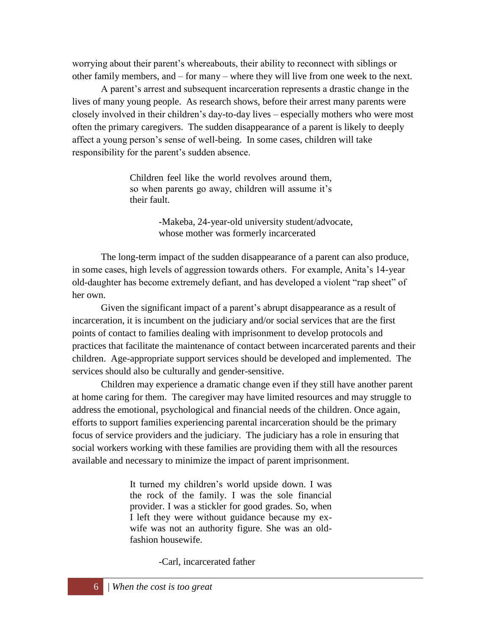worrying about their parent"s whereabouts, their ability to reconnect with siblings or other family members, and – for many – where they will live from one week to the next.

A parent"s arrest and subsequent incarceration represents a drastic change in the lives of many young people. As research shows, before their arrest many parents were closely involved in their children"s day-to-day lives – especially mothers who were most often the primary caregivers. The sudden disappearance of a parent is likely to deeply affect a young person"s sense of well-being. In some cases, children will take responsibility for the parent's sudden absence.

> Children feel like the world revolves around them, so when parents go away, children will assume it's their fault.

> > -Makeba, 24-year-old university student/advocate, whose mother was formerly incarcerated

The long-term impact of the sudden disappearance of a parent can also produce, in some cases, high levels of aggression towards others. For example, Anita"s 14-year old-daughter has become extremely defiant, and has developed a violent "rap sheet" of her own.

Given the significant impact of a parent's abrupt disappearance as a result of incarceration, it is incumbent on the judiciary and/or social services that are the first points of contact to families dealing with imprisonment to develop protocols and practices that facilitate the maintenance of contact between incarcerated parents and their children. Age-appropriate support services should be developed and implemented. The services should also be culturally and gender-sensitive.

Children may experience a dramatic change even if they still have another parent at home caring for them. The caregiver may have limited resources and may struggle to address the emotional, psychological and financial needs of the children. Once again, efforts to support families experiencing parental incarceration should be the primary focus of service providers and the judiciary. The judiciary has a role in ensuring that social workers working with these families are providing them with all the resources available and necessary to minimize the impact of parent imprisonment.

> It turned my children"s world upside down. I was the rock of the family. I was the sole financial provider. I was a stickler for good grades. So, when I left they were without guidance because my exwife was not an authority figure. She was an oldfashion housewife.

> > -Carl, incarcerated father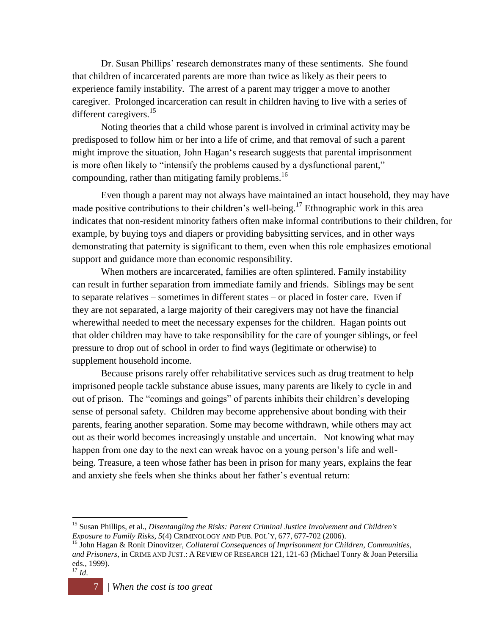Dr. Susan Phillips" research demonstrates many of these sentiments. She found that children of incarcerated parents are more than twice as likely as their peers to experience family instability. The arrest of a parent may trigger a move to another caregiver. Prolonged incarceration can result in children having to live with a series of different caregivers. $^{15}$ 

Noting theories that a child whose parent is involved in criminal activity may be predisposed to follow him or her into a life of crime, and that removal of such a parent might improve the situation, John Hagan"s research suggests that parental imprisonment is more often likely to "intensify the problems caused by a dysfunctional parent," compounding, rather than mitigating family problems.<sup>16</sup>

Even though a parent may not always have maintained an intact household, they may have made positive contributions to their children's well-being.<sup>17</sup> Ethnographic work in this area indicates that non-resident minority fathers often make informal contributions to their children, for example, by buying toys and diapers or providing babysitting services, and in other ways demonstrating that paternity is significant to them, even when this role emphasizes emotional support and guidance more than economic responsibility.

When mothers are incarcerated, families are often splintered. Family instability can result in further separation from immediate family and friends. Siblings may be sent to separate relatives – sometimes in different states – or placed in foster care. Even if they are not separated, a large majority of their caregivers may not have the financial wherewithal needed to meet the necessary expenses for the children. Hagan points out that older children may have to take responsibility for the care of younger siblings, or feel pressure to drop out of school in order to find ways (legitimate or otherwise) to supplement household income.

Because prisons rarely offer rehabilitative services such as drug treatment to help imprisoned people tackle substance abuse issues, many parents are likely to cycle in and out of prison. The "comings and goings" of parents inhibits their children"s developing sense of personal safety. Children may become apprehensive about bonding with their parents, fearing another separation. Some may become withdrawn, while others may act out as their world becomes increasingly unstable and uncertain. Not knowing what may happen from one day to the next can wreak havoc on a young person's life and wellbeing. Treasure, a teen whose father has been in prison for many years, explains the fear and anxiety she feels when she thinks about her father"s eventual return:

<sup>15</sup> Susan Phillips, et al., *Disentangling the Risks: Parent Criminal Justice Involvement and Children's Exposure to Family Risks*, *5*(4) CRIMINOLOGY AND PUB. POL"Y, 677, 677-702 (2006).

<sup>16</sup> John Hagan & Ronit Dinovitzer, *Collateral Consequences of Imprisonment for Children, Communities, and Prisoners*, in CRIME AND JUST.: A REVIEW OF RESEARCH 121, 121-63 *(*Michael Tonry & Joan Petersilia eds., 1999).

<sup>17</sup> *Id*.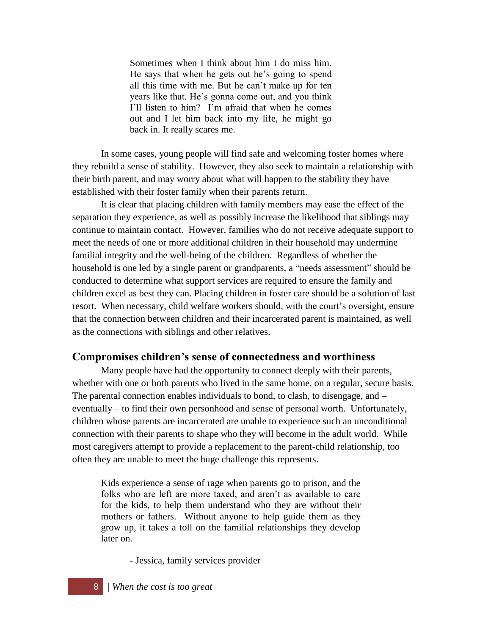Sometimes when I think about him I do miss him. He says that when he gets out he"s going to spend all this time with me. But he can"t make up for ten years like that. He"s gonna come out, and you think I"ll listen to him? I"m afraid that when he comes out and I let him back into my life, he might go back in. It really scares me.

In some cases, young people will find safe and welcoming foster homes where they rebuild a sense of stability. However, they also seek to maintain a relationship with their birth parent, and may worry about what will happen to the stability they have established with their foster family when their parents return.

It is clear that placing children with family members may ease the effect of the separation they experience, as well as possibly increase the likelihood that siblings may continue to maintain contact. However, families who do not receive adequate support to meet the needs of one or more additional children in their household may undermine familial integrity and the well-being of the children. Regardless of whether the household is one led by a single parent or grandparents, a "needs assessment" should be conducted to determine what support services are required to ensure the family and children excel as best they can. Placing children in foster care should be a solution of last resort. When necessary, child welfare workers should, with the court's oversight, ensure that the connection between children and their incarcerated parent is maintained, as well as the connections with siblings and other relatives.

#### **Compromises children's sense of connectedness and worthiness**

Many people have had the opportunity to connect deeply with their parents, whether with one or both parents who lived in the same home, on a regular, secure basis. The parental connection enables individuals to bond, to clash, to disengage, and – eventually – to find their own personhood and sense of personal worth. Unfortunately, children whose parents are incarcerated are unable to experience such an unconditional connection with their parents to shape who they will become in the adult world. While most caregivers attempt to provide a replacement to the parent-child relationship, too often they are unable to meet the huge challenge this represents.

Kids experience a sense of rage when parents go to prison, and the folks who are left are more taxed, and aren"t as available to care for the kids, to help them understand who they are without their mothers or fathers. Without anyone to help guide them as they grow up, it takes a toll on the familial relationships they develop later on.

- Jessica, family services provider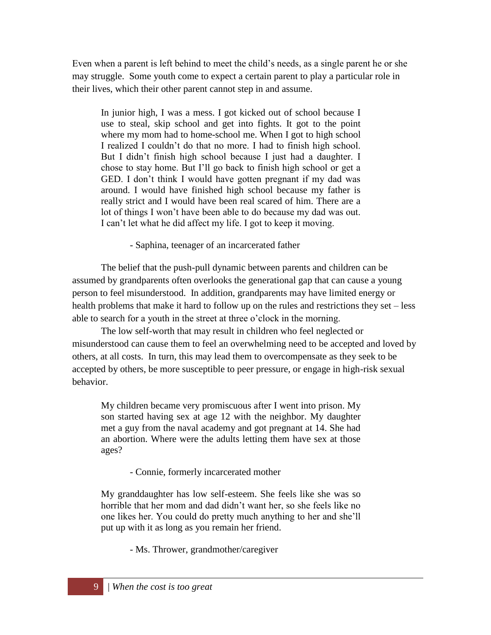Even when a parent is left behind to meet the child"s needs, as a single parent he or she may struggle. Some youth come to expect a certain parent to play a particular role in their lives, which their other parent cannot step in and assume.

In junior high, I was a mess. I got kicked out of school because I use to steal, skip school and get into fights. It got to the point where my mom had to home-school me. When I got to high school I realized I couldn"t do that no more. I had to finish high school. But I didn"t finish high school because I just had a daughter. I chose to stay home. But I"ll go back to finish high school or get a GED. I don"t think I would have gotten pregnant if my dad was around. I would have finished high school because my father is really strict and I would have been real scared of him. There are a lot of things I won"t have been able to do because my dad was out. I can"t let what he did affect my life. I got to keep it moving.

- Saphina, teenager of an incarcerated father

The belief that the push-pull dynamic between parents and children can be assumed by grandparents often overlooks the generational gap that can cause a young person to feel misunderstood. In addition, grandparents may have limited energy or health problems that make it hard to follow up on the rules and restrictions they set – less able to search for a youth in the street at three o"clock in the morning.

The low self-worth that may result in children who feel neglected or misunderstood can cause them to feel an overwhelming need to be accepted and loved by others, at all costs. In turn, this may lead them to overcompensate as they seek to be accepted by others, be more susceptible to peer pressure, or engage in high-risk sexual behavior.

My children became very promiscuous after I went into prison. My son started having sex at age 12 with the neighbor. My daughter met a guy from the naval academy and got pregnant at 14. She had an abortion. Where were the adults letting them have sex at those ages?

- Connie, formerly incarcerated mother

My granddaughter has low self-esteem. She feels like she was so horrible that her mom and dad didn"t want her, so she feels like no one likes her. You could do pretty much anything to her and she"ll put up with it as long as you remain her friend.

- Ms. Thrower, grandmother/caregiver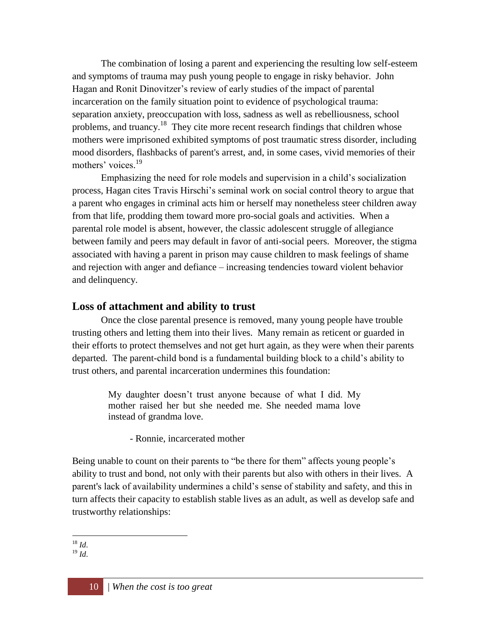The combination of losing a parent and experiencing the resulting low self-esteem and symptoms of trauma may push young people to engage in risky behavior. John Hagan and Ronit Dinovitzer"s review of early studies of the impact of parental incarceration on the family situation point to evidence of psychological trauma: separation anxiety, preoccupation with loss, sadness as well as rebelliousness, school problems, and truancy.<sup>18</sup> They cite more recent research findings that children whose mothers were imprisoned exhibited symptoms of post traumatic stress disorder, including mood disorders, flashbacks of parent's arrest, and, in some cases, vivid memories of their mothers' voices.<sup>19</sup>

Emphasizing the need for role models and supervision in a child"s socialization process, Hagan cites Travis Hirschi"s seminal work on social control theory to argue that a parent who engages in criminal acts him or herself may nonetheless steer children away from that life, prodding them toward more pro-social goals and activities. When a parental role model is absent, however, the classic adolescent struggle of allegiance between family and peers may default in favor of anti-social peers. Moreover, the stigma associated with having a parent in prison may cause children to mask feelings of shame and rejection with anger and defiance – increasing tendencies toward violent behavior and delinquency.

#### **Loss of attachment and ability to trust**

Once the close parental presence is removed, many young people have trouble trusting others and letting them into their lives. Many remain as reticent or guarded in their efforts to protect themselves and not get hurt again, as they were when their parents departed. The parent-child bond is a fundamental building block to a child"s ability to trust others, and parental incarceration undermines this foundation:

> My daughter doesn"t trust anyone because of what I did. My mother raised her but she needed me. She needed mama love instead of grandma love.

- Ronnie, incarcerated mother

Being unable to count on their parents to "be there for them" affects young people"s ability to trust and bond, not only with their parents but also with others in their lives. A parent's lack of availability undermines a child"s sense of stability and safety, and this in turn affects their capacity to establish stable lives as an adult, as well as develop safe and trustworthy relationships:

 $\overline{a}$ <sup>18</sup> *Id*.

 $^{19}$   $\overline{1}d$ .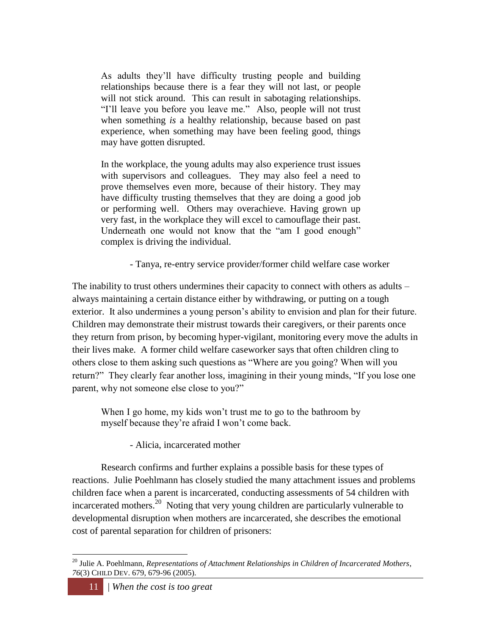As adults they"ll have difficulty trusting people and building relationships because there is a fear they will not last, or people will not stick around. This can result in sabotaging relationships. "I"ll leave you before you leave me." Also, people will not trust when something *is* a healthy relationship, because based on past experience, when something may have been feeling good, things may have gotten disrupted.

In the workplace, the young adults may also experience trust issues with supervisors and colleagues. They may also feel a need to prove themselves even more, because of their history. They may have difficulty trusting themselves that they are doing a good job or performing well. Others may overachieve. Having grown up very fast, in the workplace they will excel to camouflage their past. Underneath one would not know that the "am I good enough" complex is driving the individual.

- Tanya, re-entry service provider/former child welfare case worker

The inability to trust others undermines their capacity to connect with others as adults – always maintaining a certain distance either by withdrawing, or putting on a tough exterior. It also undermines a young person's ability to envision and plan for their future. Children may demonstrate their mistrust towards their caregivers, or their parents once they return from prison, by becoming hyper-vigilant, monitoring every move the adults in their lives make. A former child welfare caseworker says that often children cling to others close to them asking such questions as "Where are you going? When will you return?" They clearly fear another loss, imagining in their young minds, "If you lose one parent, why not someone else close to you?"

When I go home, my kids won't trust me to go to the bathroom by myself because they're afraid I won't come back.

- Alicia, incarcerated mother

Research confirms and further explains a possible basis for these types of reactions. Julie Poehlmann has closely studied the many attachment issues and problems children face when a parent is incarcerated, conducting assessments of 54 children with incarcerated mothers.<sup>20</sup> Noting that very young children are particularly vulnerable to developmental disruption when mothers are incarcerated, she describes the emotional cost of parental separation for children of prisoners:

 $\overline{a}$ <sup>20</sup> Julie A. Poehlmann, *Representations of Attachment Relationships in Children of Incarcerated Mothers*, *76*(3) CHILD DEV. 679, 679-96 (2005).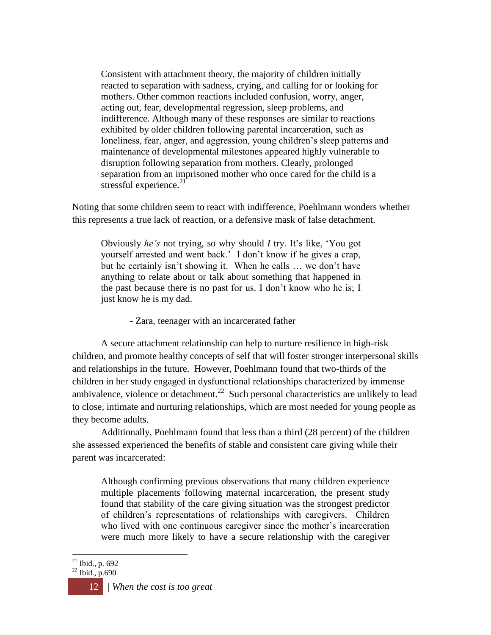Consistent with attachment theory, the majority of children initially reacted to separation with sadness, crying, and calling for or looking for mothers. Other common reactions included confusion, worry, anger, acting out, fear, developmental regression, sleep problems, and indifference. Although many of these responses are similar to reactions exhibited by older children following parental incarceration, such as loneliness, fear, anger, and aggression, young children's sleep patterns and maintenance of developmental milestones appeared highly vulnerable to disruption following separation from mothers. Clearly, prolonged separation from an imprisoned mother who once cared for the child is a stressful experience. $21$ <sup>\*</sup>

Noting that some children seem to react with indifference, Poehlmann wonders whether this represents a true lack of reaction, or a defensive mask of false detachment.

Obviously *he's* not trying, so why should *I* try. It's like, 'You got yourself arrested and went back." I don"t know if he gives a crap, but he certainly isn"t showing it. When he calls … we don"t have anything to relate about or talk about something that happened in the past because there is no past for us. I don"t know who he is; I just know he is my dad.

- Zara, teenager with an incarcerated father

A secure attachment relationship can help to nurture resilience in high-risk children, and promote healthy concepts of self that will foster stronger interpersonal skills and relationships in the future. However, Poehlmann found that two-thirds of the children in her study engaged in dysfunctional relationships characterized by immense ambivalence, violence or detachment.<sup>22</sup> Such personal characteristics are unlikely to lead to close, intimate and nurturing relationships, which are most needed for young people as they become adults.

Additionally, Poehlmann found that less than a third (28 percent) of the children she assessed experienced the benefits of stable and consistent care giving while their parent was incarcerated:

Although confirming previous observations that many children experience multiple placements following maternal incarceration, the present study found that stability of the care giving situation was the strongest predictor of children"s representations of relationships with caregivers. Children who lived with one continuous caregiver since the mother's incarceration were much more likely to have a secure relationship with the caregiver

 $\overline{a}$  $21$  Ibid., p. 692

 $22$  Ibid., p.690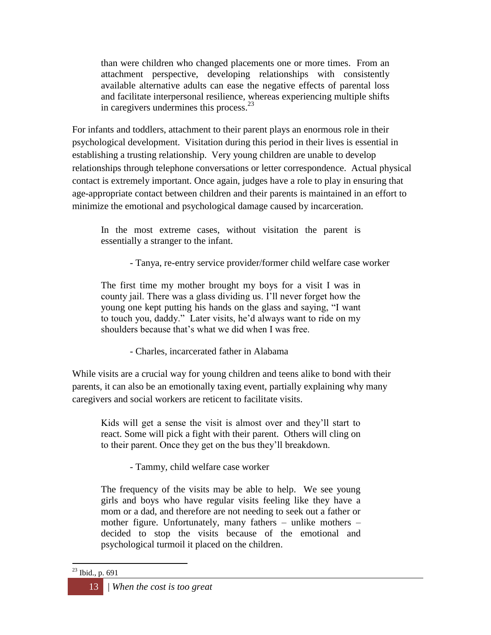than were children who changed placements one or more times. From an attachment perspective, developing relationships with consistently available alternative adults can ease the negative effects of parental loss and facilitate interpersonal resilience, whereas experiencing multiple shifts in caregivers undermines this process.<sup>23</sup>

For infants and toddlers, attachment to their parent plays an enormous role in their psychological development. Visitation during this period in their lives is essential in establishing a trusting relationship. Very young children are unable to develop relationships through telephone conversations or letter correspondence. Actual physical contact is extremely important. Once again, judges have a role to play in ensuring that age-appropriate contact between children and their parents is maintained in an effort to minimize the emotional and psychological damage caused by incarceration.

In the most extreme cases, without visitation the parent is essentially a stranger to the infant.

- Tanya, re-entry service provider/former child welfare case worker

The first time my mother brought my boys for a visit I was in county jail. There was a glass dividing us. I"ll never forget how the young one kept putting his hands on the glass and saying, "I want to touch you, daddy." Later visits, he"d always want to ride on my shoulders because that"s what we did when I was free.

- Charles, incarcerated father in Alabama

While visits are a crucial way for young children and teens alike to bond with their parents, it can also be an emotionally taxing event, partially explaining why many caregivers and social workers are reticent to facilitate visits.

Kids will get a sense the visit is almost over and they"ll start to react. Some will pick a fight with their parent. Others will cling on to their parent. Once they get on the bus they"ll breakdown.

- Tammy, child welfare case worker

The frequency of the visits may be able to help. We see young girls and boys who have regular visits feeling like they have a mom or a dad, and therefore are not needing to seek out a father or mother figure. Unfortunately, many fathers – unlike mothers – decided to stop the visits because of the emotional and psychological turmoil it placed on the children.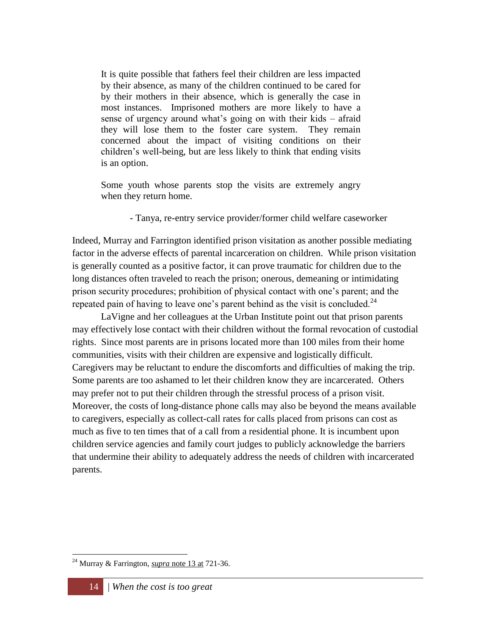It is quite possible that fathers feel their children are less impacted by their absence, as many of the children continued to be cared for by their mothers in their absence, which is generally the case in most instances. Imprisoned mothers are more likely to have a sense of urgency around what"s going on with their kids – afraid they will lose them to the foster care system. They remain concerned about the impact of visiting conditions on their children"s well-being, but are less likely to think that ending visits is an option.

Some youth whose parents stop the visits are extremely angry when they return home.

- Tanya, re-entry service provider/former child welfare caseworker

Indeed, Murray and Farrington identified prison visitation as another possible mediating factor in the adverse effects of parental incarceration on children. While prison visitation is generally counted as a positive factor, it can prove traumatic for children due to the long distances often traveled to reach the prison; onerous, demeaning or intimidating prison security procedures; prohibition of physical contact with one"s parent; and the repeated pain of having to leave one's parent behind as the visit is concluded.<sup>24</sup>

LaVigne and her colleagues at the Urban Institute point out that prison parents may effectively lose contact with their children without the formal revocation of custodial rights. Since most parents are in prisons located more than 100 miles from their home communities, visits with their children are expensive and logistically difficult. Caregivers may be reluctant to endure the discomforts and difficulties of making the trip. Some parents are too ashamed to let their children know they are incarcerated. Others may prefer not to put their children through the stressful process of a prison visit. Moreover, the costs of long-distance phone calls may also be beyond the means available to caregivers, especially as collect-call rates for calls placed from prisons can cost as much as five to ten times that of a call from a residential phone. It is incumbent upon children service agencies and family court judges to publicly acknowledge the barriers that undermine their ability to adequately address the needs of children with incarcerated parents.

 $\overline{a}$ <sup>24</sup> Murray & Farrington, *supra* note 13 at 721-36.